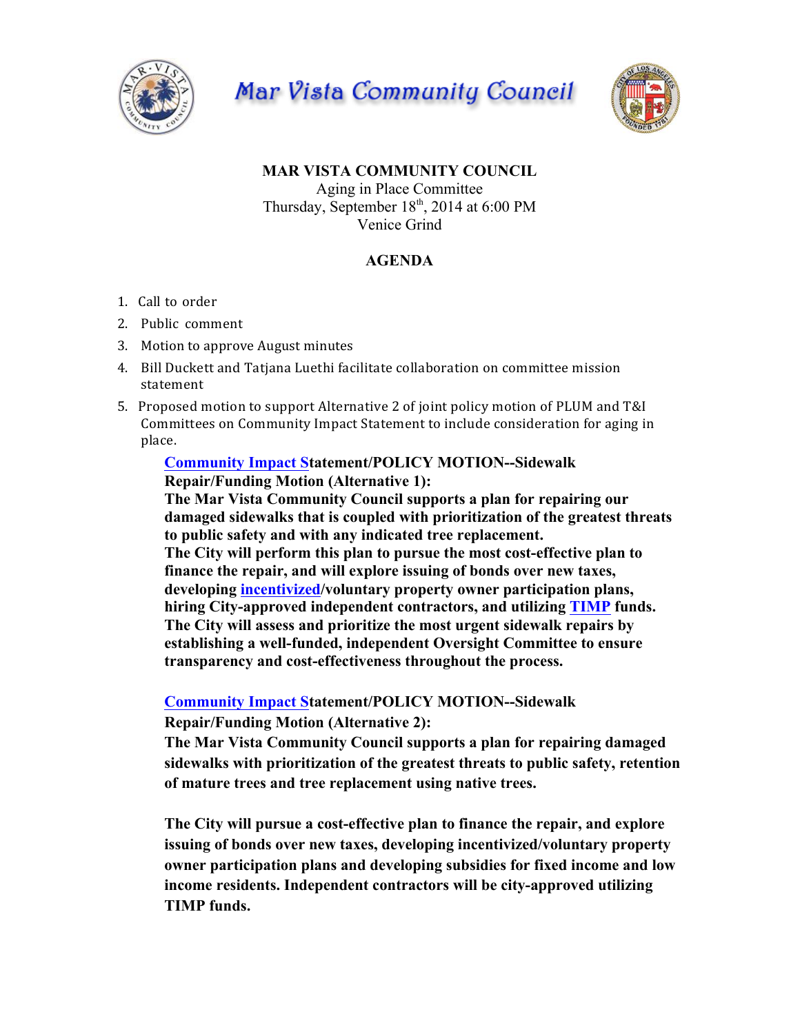

Mar Vista Community Council



## **MAR VISTA COMMUNITY COUNCIL** Aging in Place Committee Thursday, September 18<sup>th</sup>, 2014 at 6:00 PM Venice Grind

# **AGENDA**

- 1. Call to order
- 2. Public comment
- 3. Motion to approve August minutes
- 4. Bill Duckett and Tatjana Luethi facilitate collaboration on committee mission statement
- 5. Proposed motion to support Alternative 2 of joint policy motion of PLUM and T&I Committees on Community Impact Statement to include consideration for aging in place.

### **Community Impact Statement/POLICY MOTION--Sidewalk Repair/Funding Motion (Alternative 1):**

**The Mar Vista Community Council supports a plan for repairing our damaged sidewalks that is coupled with prioritization of the greatest threats to public safety and with any indicated tree replacement. The City will perform this plan to pursue the most cost-effective plan to finance the repair, and will explore issuing of bonds over new taxes, developing incentivized/voluntary property owner participation plans, hiring City-approved independent contractors, and utilizing TIMP funds. The City will assess and prioritize the most urgent sidewalk repairs by establishing a well-funded, independent Oversight Committee to ensure transparency and cost-effectiveness throughout the process.**

**Community Impact Statement/POLICY MOTION--Sidewalk Repair/Funding Motion (Alternative 2):**

**The Mar Vista Community Council supports a plan for repairing damaged sidewalks with prioritization of the greatest threats to public safety, retention of mature trees and tree replacement using native trees.**

**The City will pursue a cost-effective plan to finance the repair, and explore issuing of bonds over new taxes, developing incentivized/voluntary property owner participation plans and developing subsidies for fixed income and low income residents. Independent contractors will be city-approved utilizing TIMP funds.**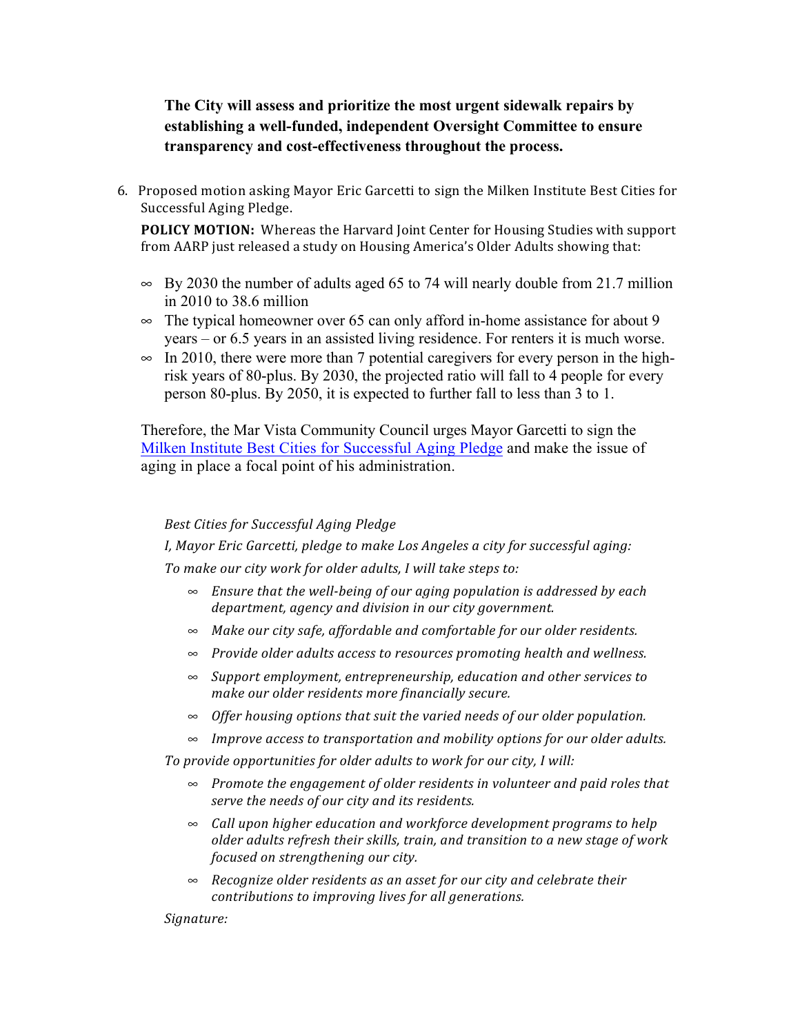## **The City will assess and prioritize the most urgent sidewalk repairs by establishing a well-funded, independent Oversight Committee to ensure transparency and cost-effectiveness throughout the process.**

6. Proposed motion asking Mayor Eric Garcetti to sign the Milken Institute Best Cities for Successful Aging Pledge.

**POLICY MOTION:** Whereas the Harvard Joint Center for Housing Studies with support from AARP just released a study on Housing America's Older Adults showing that:

- $\approx$  By 2030 the number of adults aged 65 to 74 will nearly double from 21.7 million in 2010 to 38.6 million
- $\infty$  The typical homeowner over 65 can only afford in-home assistance for about 9 years – or 6.5 years in an assisted living residence. For renters it is much worse.
- $\approx$  In 2010, there were more than 7 potential caregivers for every person in the highrisk years of 80-plus. By 2030, the projected ratio will fall to 4 people for every person 80-plus. By 2050, it is expected to further fall to less than 3 to 1.

Therefore, the Mar Vista Community Council urges Mayor Garcetti to sign the Milken Institute Best Cities for Successful Aging Pledge and make the issue of aging in place a focal point of his administration.

### *Best Cities for Successful Aging Pledge*

*I, Mayor Eric Garcetti, pledge to make Los Angeles a city for successful aging:* To make our city work for older adults, I will take steps to:

- $\infty$  *Ensure that the well-being of our aging population is addressed by each* department, agency and division in our city government.
- $\sim$  *Make our city safe, affordable and comfortable for our older residents.*
- $\sim$  *Provide older adults access to resources promoting health and wellness.*
- $\infty$  *Support employment, entrepreneurship, education and other services to make our older residents more financially secure.*
- $\sim$  *Offer housing options that suit the varied needs of our older population.*
- $\sim$  *Improve access to transportation and mobility options for our older adults.*

To provide opportunities for older adults to work for our city, I will:

- $\sim$  *Promote the engagement of older residents in volunteer and paid roles that* serve the needs of our city and its residents.
- $\infty$  *Call upon higher education and workforce development programs to help* older adults refresh their skills, train, and transition to a new stage of work *focused on strengthening our city.*
- $\infty$  *Recognize older residents as an asset for our city and celebrate their contributions to improving lives for all generations.*

### *Signature:*